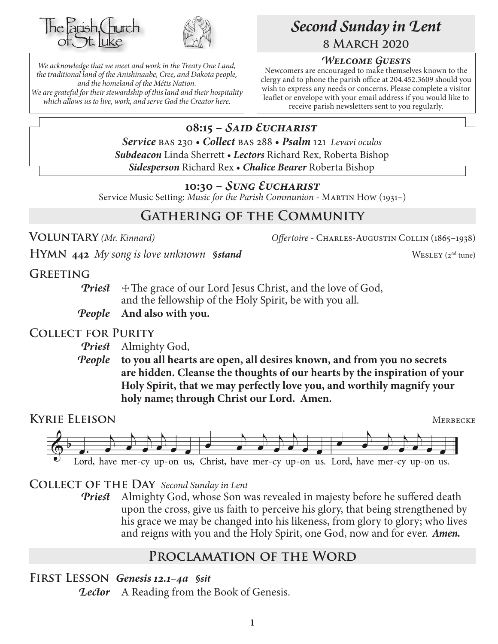



*We acknowledge that we meet and work in the Treaty One Land, the traditional land of the Anishinaabe, Cree, and Dakota people, and the homeland of the Métis Nation. We are grateful for their stewardship of this land and their hospitality which allows us to live, work, and serve God the Creator here.*

# *Second Sunday in Lent* **8 March 2020**

#### *Welcome Guests*

Newcomers are encouraged to make themselves known to the clergy and to phone the parish office at 204.452.3609 should you wish to express any needs or concerns. Please complete a visitor leaflet or envelope with your email address if you would like to receive parish newsletters sent to you regularly.

# **08:15 –** *Said Eucharist*

*Service* bas 230 • *Collect* bas 288 • *Psalm* 121 *Levavi oculos Subdeacon* Linda Sherrett • *Lectors* Richard Rex, Roberta Bishop *Sidesperson* Richard Rex • *Chalice Bearer* Roberta Bishop

#### **10:30 –** *Sung Eucharist*

Service Music Setting: *Music for the Parish Communion* - MARTIN How (1931–)

# **Gathering of the Community**

**Voluntary** *(Mr. Kinnard) Offertoire -* Charles-Augustin Collin (1865–1938)

**HYMN** 442 *My song is love unknown \$stand* WESLEY (2<sup>nd</sup> tune)

**Greeting**

*Priest*  $\pm$  The grace of our Lord Jesus Christ, and the love of God, and the fellowship of the Holy Spirit, be with you all.

#### *People* **And also with you.**

#### **Collect for Purity**

*Priest* Almighty God,

*People* **to you all hearts are open, all desires known, and from you no secrets are hidden. Cleanse the thoughts of our hearts by the inspiration of your Holy Spirit, that we may perfectly love you, and worthily magnify your holy name; through Christ our Lord. Amen.**

**KYRIE ELEISON** MERBECKE Lord, have mer-cy up-on us, Christ, have mer-cy up-on us. Lord, have mer-cy up-on us.

#### **Collect of the Day** *Second Sunday in Lent*

*Priest* Almighty God, whose Son was revealed in majesty before he suffered death upon the cross, give us faith to perceive his glory, that being strengthened by his grace we may be changed into his likeness, from glory to glory; who lives and reigns with you and the Holy Spirit, one God, now and for ever.*Amen.*

## **Proclamation of the Word**

**First Lesson** *Genesis 12.1–4a §sit*

*Lector* A Reading from the Book of Genesis.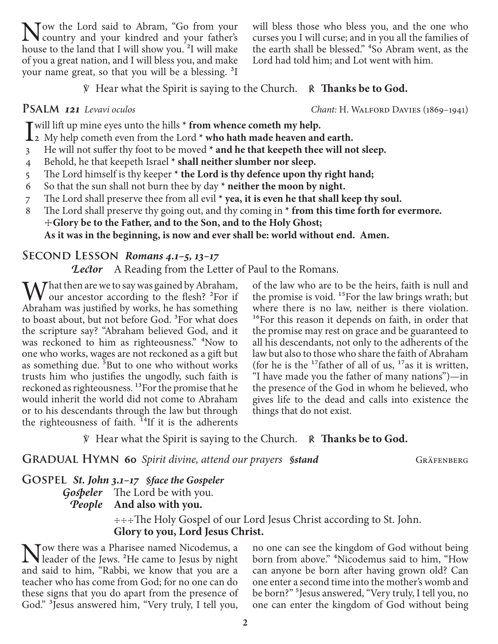Now the Lord said to Abram, "Go from your<br>country and your kindred and your father's<br>house to the land that I will about you <sup>21</sup> will make house to the land that I will show you. <sup>2</sup>I will make of you a great nation, and I will bless you, and make your name great, so that you will be a blessing. 3I

℣ Hear what the Spirit is saying to the Church. ℟ **Thanks be to God.**

- I will lift up mine eyes unto the hills **\*** from whence cometh my help.<br>
2 My help cometh even from the Lord **\*** who hath made heaven and earth.
- 3 He will not suffer thy foot to be moved **\* and he that keepeth thee will not sleep.**
- 4 Behold, he that keepeth Israel **\* shall neither slumber nor sleep.**
- 5 The Lord himself is thy keeper **\* the Lord is thy defence upon thy right hand;**
- 6 So that the sun shall not burn thee by day **\* neither the moon by night.**
- 7 The Lord shall preserve thee from all evil **\* yea, it is even he that shall keep thy soul.**
- 8 The Lord shall preserve thy going out, and thy coming in **\* from this time forth for evermore.** ☩**Glory be to the Father, and to the Son, and to the Holy Ghost; As it was in the beginning, is now and ever shall be: world without end. Amen.**

#### **Second Lesson** *Romans 4.1–5, 13–17*

*Lector* A Reading from the Letter of Paul to the Romans.

 $\mathbf{W}^{\text{hat}$  then are we to say was gained by Abraham,<br>
our ancestor according to the flesh?  $^{2}$ For if Abraham was justified by works, he has something to boast about, but not before God. <sup>3</sup>For what does the scripture say? "Abraham believed God, and it was reckoned to him as righteousness." <sup>4</sup>Now to one who works, wages are not reckoned as a gift but as something due. <sup>5</sup>But to one who without works trusts him who justifies the ungodly, such faith is reckoned as righteousness. 13For the promise that he would inherit the world did not come to Abraham or to his descendants through the law but through the righteousness of faith.  $^{14}$ If it is the adherents

of the law who are to be the heirs, faith is null and the promise is void. <sup>15</sup>For the law brings wrath; but where there is no law, neither is there violation. <sup>16</sup>For this reason it depends on faith, in order that the promise may rest on grace and be guaranteed to all his descendants, not only to the adherents of the law but also to those who share the faith of Abraham (for he is the  $17$  father of all of us,  $17$  as it is written, "I have made you the father of many nations")—in the presence of the God in whom he believed, who gives life to the dead and calls into existence the things that do not exist.

℣ Hear what the Spirit is saying to the Church. ℟ **Thanks be to God.**

**GRADUAL HYMN** 60 *Spirit divine, attend our prayers Sstand* GRÄFENBERG

**Gospel** *St. John 3.1–17 §face the Gospeler*

*Gospeler* The Lord be with you. *People* **And also with you.**

> ☩☩☩The Holy Gospel of our Lord Jesus Christ according to St. John. **Glory to you, Lord Jesus Christ.**

Now there was a Pharisee named Nicodemus, a leader of the Jews. <sup>2</sup>He came to Jesus by night and said to him, "Rabbi, we know that you are a teacher who has come from God; for no one can do these signs that you do apart from the presence of God." 3Jesus answered him, "Very truly, I tell you,

no one can see the kingdom of God without being born from above." 4Nicodemus said to him, "How can anyone be born after having grown old? Can one enter a second time into the mother's womb and be born?" 5Jesus answered, "Very truly, I tell you, no one can enter the kingdom of God without being

**Psalm** *121 Levavi oculos Chant:* H. Walford Davies (1869–1941)

will bless those who bless you, and the one who curses you I will curse; and in you all the families of the earth shall be blessed." 4So Abram went, as the

Lord had told him; and Lot went with him.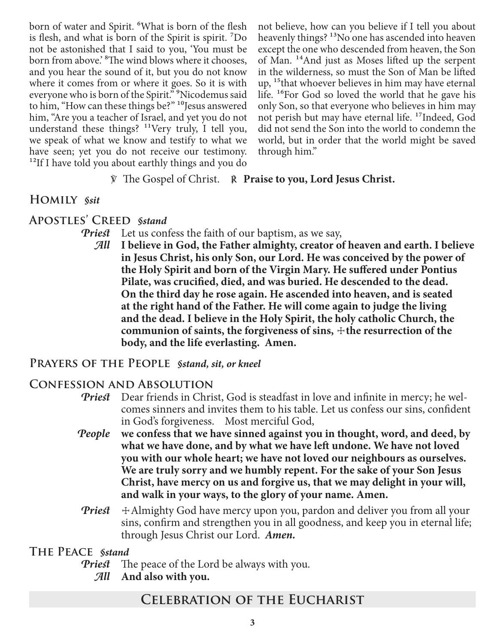born of water and Spirit. <sup>6</sup>What is born of the flesh is flesh, and what is born of the Spirit is spirit. 7Do not be astonished that I said to you, 'You must be born from above.<sup>8</sup> The wind blows where it chooses, and you hear the sound of it, but you do not know where it comes from or where it goes. So it is with everyone who is born of the Spirit."<sup>9</sup>Nicodemus said to him, "How can these things be?" <sup>10</sup>Jesus answered him, "Are you a teacher of Israel, and yet you do not understand these things? <sup>11</sup>Very truly, I tell you, we speak of what we know and testify to what we have seen; yet you do not receive our testimony. <sup>12</sup>If I have told you about earthly things and you do

not believe, how can you believe if I tell you about heavenly things?<sup>13</sup>No one has ascended into heaven except the one who descended from heaven, the Son of Man. 14And just as Moses lifted up the serpent in the wilderness, so must the Son of Man be lifted up, 15that whoever believes in him may have eternal life. <sup>16</sup>For God so loved the world that he gave his only Son, so that everyone who believes in him may not perish but may have eternal life. 17Indeed, God did not send the Son into the world to condemn the world, but in order that the world might be saved through him."

#### ℣ The Gospel of Christ. ℟ **Praise to you, Lord Jesus Christ.**

#### **Homily** *§sit*

#### **Apostles' Creed** *§stand*

*Priest* Let us confess the faith of our baptism, as we say,

*All* **I believe in God, the Father almighty, creator of heaven and earth. I believe in Jesus Christ, his only Son, our Lord. He was conceived by the power of the Holy Spirit and born of the Virgin Mary. He suffered under Pontius Pilate, was crucified, died, and was buried. He descended to the dead. On the third day he rose again. He ascended into heaven, and is seated at the right hand of the Father. He will come again to judge the living and the dead. I believe in the Holy Spirit, the holy catholic Church, the communion of saints, the forgiveness of sins,**  $\pm$  **the resurrection of the body, and the life everlasting. Amen.**

#### **Prayers of the People** *§stand, sit, or kneel*

#### **Confession and Absolution**

- *Priest* Dear friends in Christ, God is steadfast in love and infinite in mercy; he welcomes sinners and invites them to his table. Let us confess our sins, confident in God's forgiveness. Most merciful God,
- *People* **we confess that we have sinned against you in thought, word, and deed, by what we have done, and by what we have left undone. We have not loved you with our whole heart; we have not loved our neighbours as ourselves. We are truly sorry and we humbly repent. For the sake of your Son Jesus Christ, have mercy on us and forgive us, that we may delight in your will, and walk in your ways, to the glory of your name. Amen.**
- *Priest*  $\pm$  Almighty God have mercy upon you, pardon and deliver you from all your sins, confirm and strengthen you in all goodness, and keep you in eternal life; through Jesus Christ our Lord.*Amen.*

#### **The Peace** *§stand*

- *Priest* The peace of the Lord be always with you.
	- *All* **And also with you.**

#### **Celebration of the Eucharist**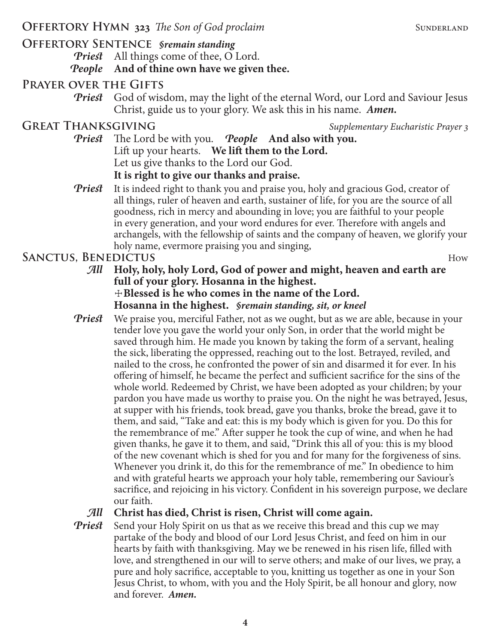# **Offertory Sentence** *§remain standing*

*Priest* All things come of thee, O Lord.

# *People* **And of thine own have we given thee.**

# **Prayer over the Gifts**

*Priest* God of wisdom, may the light of the eternal Word, our Lord and Saviour Jesus Christ, guide us to your glory. We ask this in his name. *Amen.*

GREAT THANKSGIVING *Supplementary Eucharistic Prayer* 3

- *Priest* The Lord be with you. *People* **And also with you.** Lift up your hearts. **We lift them to the Lord.** Let us give thanks to the Lord our God. **It is right to give our thanks and praise.**
- **Priest** It is indeed right to thank you and praise you, holy and gracious God, creator of all things, ruler of heaven and earth, sustainer of life, for you are the source of all goodness, rich in mercy and abounding in love; you are faithful to your people in every generation, and your word endures for ever. Therefore with angels and archangels, with the fellowship of saints and the company of heaven, we glorify your holy name, evermore praising you and singing,

# **SANCTUS, BENEDICTUS** How

*All* **Holy, holy, holy Lord, God of power and might, heaven and earth are full of your glory. Hosanna in the highest.** ☩**Blessed is he who comes in the name of the Lord.**

**Hosanna in the highest.** *§remain standing, sit, or kneel*

*Priest* We praise you, merciful Father, not as we ought, but as we are able, because in your tender love you gave the world your only Son, in order that the world might be saved through him. He made you known by taking the form of a servant, healing the sick, liberating the oppressed, reaching out to the lost. Betrayed, reviled, and nailed to the cross, he confronted the power of sin and disarmed it for ever. In his offering of himself, he became the perfect and sufficient sacrifice for the sins of the whole world. Redeemed by Christ, we have been adopted as your children; by your pardon you have made us worthy to praise you. On the night he was betrayed, Jesus, at supper with his friends, took bread, gave you thanks, broke the bread, gave it to them, and said, "Take and eat: this is my body which is given for you. Do this for the remembrance of me." After supper he took the cup of wine, and when he had given thanks, he gave it to them, and said, "Drink this all of you: this is my blood of the new covenant which is shed for you and for many for the forgiveness of sins. Whenever you drink it, do this for the remembrance of me." In obedience to him and with grateful hearts we approach your holy table, remembering our Saviour's sacrifice, and rejoicing in his victory. Confident in his sovereign purpose, we declare our faith.

## *All* **Christ has died, Christ is risen, Christ will come again.**

*Priest* Send your Holy Spirit on us that as we receive this bread and this cup we may partake of the body and blood of our Lord Jesus Christ, and feed on him in our hearts by faith with thanksgiving. May we be renewed in his risen life, filled with love, and strengthened in our will to serve others; and make of our lives, we pray, a pure and holy sacrifice, acceptable to you, knitting us together as one in your Son Jesus Christ, to whom, with you and the Holy Spirit, be all honour and glory, now and forever. *Amen.*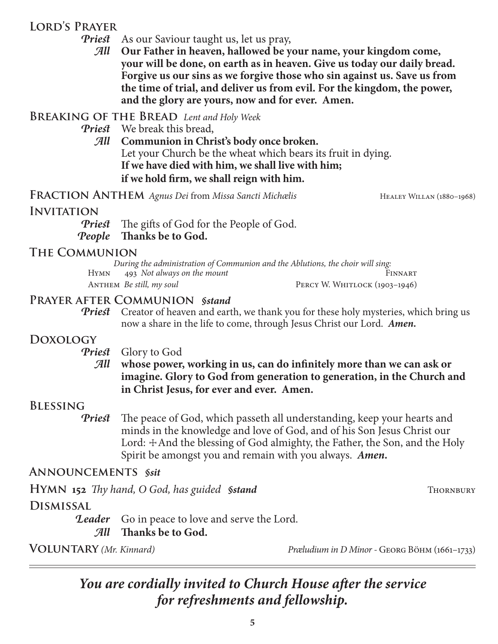## **Lord's Prayer**

*Priest* As our Saviour taught us, let us pray,

*All* **Our Father in heaven, hallowed be your name, your kingdom come, your will be done, on earth as in heaven. Give us today our daily bread. Forgive us our sins as we forgive those who sin against us. Save us from the time of trial, and deliver us from evil. For the kingdom, the power, and the glory are yours, now and for ever. Amen.**

**Breaking of the Bread** *Lent and Holy Week*

*Priest* We break this bread,

*All* **Communion in Christ's body once broken.** Let your Church be the wheat which bears its fruit in dying. **If we have died with him, we shall live with him; if we hold firm, we shall reign with him.**

**FRACTION ANTHEM** Agnus Dei from Missa Sancti Michælis HEALEY WILLAN (1880–1968)

#### **INVITATION**

*Priest* The gifts of God for the People of God. *People* **Thanks be to God.**

#### **The Communion**

|             | During the administration of Communion and the Ablutions, the choir will sing: |                               |
|-------------|--------------------------------------------------------------------------------|-------------------------------|
| <b>HYMN</b> | 493 Not always on the mount                                                    | FINNART                       |
|             | ANTHEM <i>Be still, my soul</i>                                                | PERCY W. WHITLOCK (1903-1946) |

#### **Prayer after Communion** *§stand*

*Priest* Creator of heaven and earth, we thank you for these holy mysteries, which bring us now a share in the life to come, through Jesus Christ our Lord. *Amen.*

## **Doxology**

#### *Priest* Glory to God

#### *All* **whose power, working in us, can do infinitely more than we can ask or imagine. Glory to God from generation to generation, in the Church and in Christ Jesus, for ever and ever. Amen.**

#### **Blessing**

*Priest* The peace of God, which passeth all understanding, keep your hearts and minds in the knowledge and love of God, and of his Son Jesus Christ our Lord:  $\pm$ And the blessing of God almighty, the Father, the Son, and the Holy Spirit be amongst you and remain with you always. *Amen.*

#### **Announcements** *§sit*

**HYMN** 152 *Thy hand, O God, has guided §stand* Thornbury Thornbury

# **Dismissal**

**Leader** Go in peace to love and serve the Lord.

#### *All* **Thanks be to God.**

**Voluntary** *(Mr. Kinnard) Præludium in D Minor -* Georg Böhm (1661–1733)

# *You are cordially invited to Church House after the service for refreshments and fellowship.*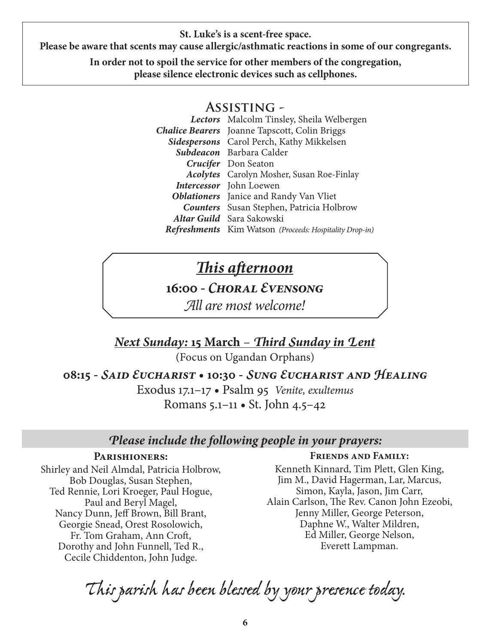**St. Luke's is a scent-free space.**

**Please be aware that scents may cause allergic/asthmatic reactions in some of our congregants.**

**In order not to spoil the service for other members of the congregation, please silence electronic devices such as cellphones.**

#### **Assisting -**

*Lectors* Malcolm Tinsley, Sheila Welbergen *Chalice Bearers* Joanne Tapscott, Colin Briggs *Sidespersons* Carol Perch, Kathy Mikkelsen *Subdeacon* Barbara Calder *Crucifer* Don Seaton *Acolytes* Carolyn Mosher, Susan Roe-Finlay *Intercessor* John Loewen *Oblationers* Janice and Randy Van Vliet *Counters* Susan Stephen, Patricia Holbrow *Altar Guild* Sara Sakowski *Refreshments* Kim Watson *(Proceeds: Hospitality Drop-in)*

# *This afternoon*

# **16:00 -** *Choral Evensong*

*All are most welcome!*

*Next Sunday:* **15 March** – *Third Sunday in Lent*

(Focus on Ugandan Orphans)

**08:15 -** *Said Eucharist* **• 10:30 -** *Sung Eucharist and Healing*

Exodus 17.1–17 • Psalm 95 *Venite, exultemus* Romans 5.1–11 • St. John 4.5–42

#### *Please include the following people in your prayers:*

#### **Parishioners:**

Shirley and Neil Almdal, Patricia Holbrow, Bob Douglas, Susan Stephen, Ted Rennie, Lori Kroeger, Paul Hogue, Paul and Beryl Magel, Nancy Dunn, Jeff Brown, Bill Brant, Georgie Snead, Orest Rosolowich, Fr. Tom Graham, Ann Croft, Dorothy and John Funnell, Ted R., Cecile Chiddenton, John Judge.

#### **Friends and Family:**

Kenneth Kinnard, Tim Plett, Glen King, Jim M., David Hagerman, Lar, Marcus, Simon, Kayla, Jason, Jim Carr, Alain Carlson, The Rev. Canon John Ezeobi, Jenny Miller, George Peterson, Daphne W., Walter Mildren, Ed Miller, George Nelson, Everett Lampman.

*This parish has been blessed by your presence today.*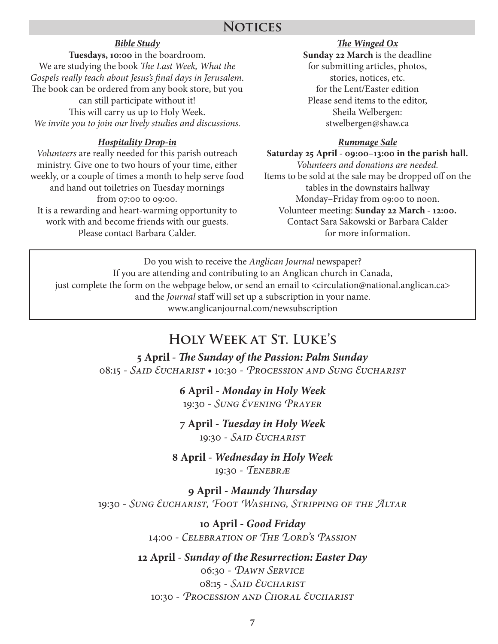#### *Bible Study*

**Tuesdays, 10:00** in the boardroom. We are studying the book *The Last Week, What the Gospels really teach about Jesus's final days in Jerusalem*. The book can be ordered from any book store, but you can still participate without it! This will carry us up to Holy Week. *We invite you to join our lively studies and discussions.*

#### *Hospitality Drop-in*

*Volunteers* are really needed for this parish outreach ministry. Give one to two hours of your time, either weekly, or a couple of times a month to help serve food and hand out toiletries on Tuesday mornings from 07:00 to 09:00. It is a rewarding and heart-warming opportunity to work with and become friends with our guests. Please contact Barbara Calder.

#### *The Winged Ox* **Sunday 22 March** is the deadline for submitting articles, photos, stories, notices, etc. for the Lent/Easter edition Please send items to the editor, Sheila Welbergen: stwelbergen@shaw.ca

#### *Rummage Sale*

**Saturday 25 April - 09:00–13:00 in the parish hall.** *Volunteers and donations are needed.* Items to be sold at the sale may be dropped off on the tables in the downstairs hallway Monday–Friday from 09:00 to noon. Volunteer meeting: **Sunday 22 March - 12:00.** Contact Sara Sakowski or Barbara Calder for more information.

Do you wish to receive the *Anglican Journal* newspaper? If you are attending and contributing to an Anglican church in Canada, just complete the form on the webpage below, or send an email to <circulation@national.anglican.ca> and the *Journal* staff will set up a subscription in your name. www.anglicanjournal.com/newsubscription

# **Holy Week at St. Luke's**

**5 April -** *The Sunday of the Passion: Palm Sunday* 08:15 - *Said Eucharist* • 10:30 - *Procession and Sung Eucharist*

> **6 April -** *Monday in Holy Week* 19:30 - *Sung Evening Prayer*

> **7 April -** *Tuesday in Holy Week* 19:30 - *Said Eucharist*

**8 April -** *Wednesday in Holy Week* 19:30 - *Tenebræ*

**9 April -** *Maundy Thursday* 19:30 - *Sung Eucharist, Foot Washing, Stripping of the Altar*

> **10 April -** *Good Friday* 14:00 - *Celebration of The Lord's Passion*

**12 April -** *Sunday of the Resurrection: Easter Day* 06:30 - *Dawn Service* 08:15 - *Said Eucharist* 10:30 - *Procession and Choral Eucharist*